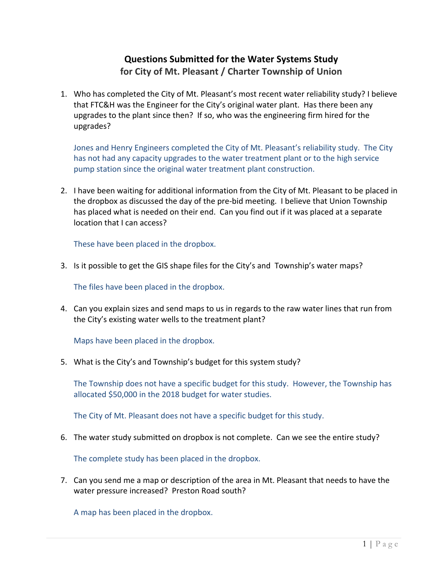## **Questions Submitted for the Water Systems Study for City of Mt. Pleasant / Charter Township of Union**

1. Who has completed the City of Mt. Pleasant's most recent water reliability study? I believe that FTC&H was the Engineer for the City's original water plant. Has there been any upgrades to the plant since then? If so, who was the engineering firm hired for the upgrades?

Jones and Henry Engineers completed the City of Mt. Pleasant's reliability study. The City has not had any capacity upgrades to the water treatment plant or to the high service pump station since the original water treatment plant construction.

2. I have been waiting for additional information from the City of Mt. Pleasant to be placed in the dropbox as discussed the day of the pre‐bid meeting. I believe that Union Township has placed what is needed on their end. Can you find out if it was placed at a separate location that I can access?

These have been placed in the dropbox.

3. Is it possible to get the GIS shape files for the City's and Township's water maps?

The files have been placed in the dropbox.

4. Can you explain sizes and send maps to us in regards to the raw water lines that run from the City's existing water wells to the treatment plant?

Maps have been placed in the dropbox.

5. What is the City's and Township's budget for this system study?

The Township does not have a specific budget for this study. However, the Township has allocated \$50,000 in the 2018 budget for water studies.

The City of Mt. Pleasant does not have a specific budget for this study.

6. The water study submitted on dropbox is not complete. Can we see the entire study?

The complete study has been placed in the dropbox.

7. Can you send me a map or description of the area in Mt. Pleasant that needs to have the water pressure increased? Preston Road south?

A map has been placed in the dropbox.